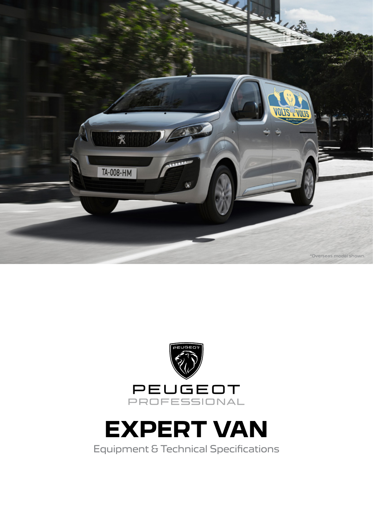





Equipment & Technical Specifications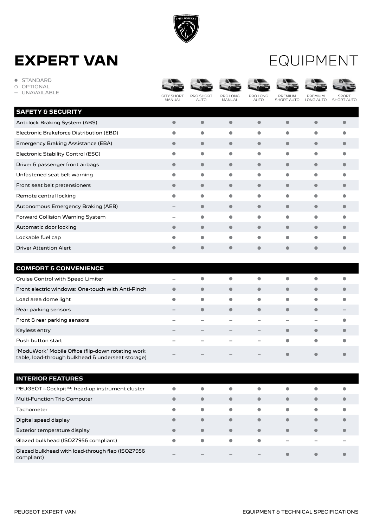

#### EQUIPMENT

| <b>STANDARD</b><br>$\bullet$<br>OPTIONAL<br>O<br>UNAVAILABLE<br>۰ | CITY SHORT<br><b>MANUAL</b> | <b>PRO SHORT</b><br><b>AUTO</b> | PRO LONG<br><b>MANUAL</b> | PRO LONG<br><b>AUTO</b>  | <b>PREMIUM</b><br><b>SHORT AUTO</b> | PREMIUM<br>LONG AUTO     | SDODT<br><b>SHORT AUTO</b> |
|-------------------------------------------------------------------|-----------------------------|---------------------------------|---------------------------|--------------------------|-------------------------------------|--------------------------|----------------------------|
| <b>SAFETY &amp; SECURITY</b>                                      |                             |                                 |                           |                          |                                     |                          |                            |
| Anti-lock Braking System (ABS)                                    | $\bullet$                   | $\bullet$                       | $\bullet$                 | $\bullet$                | $\bullet$                           | $\bullet$                | $\bullet$                  |
| Electronic Brakeforce Distribution (EBD)                          | $\bullet$                   | $\bullet$                       | $\bullet$                 | $\bullet$                | $\bullet$                           | $\bullet$                | $\bullet$                  |
| Emergency Braking Assistance (EBA)                                | $\bullet$                   | $\bullet$                       | $\bullet$                 | $\bullet$                | $\bullet$                           | $\bullet$                | $\bullet$                  |
| Electronic Stability Control (ESC)                                | $\bullet$                   | $\bullet$                       | $\bullet$                 | $\bullet$                | $\bullet$                           | $\bullet$                | $\bullet$                  |
| Driver & passenger front airbags                                  | $\bullet$                   | $\bullet$                       | $\bullet$                 | $\bullet$                | $\bullet$                           | $\bullet$                | $\bullet$                  |
| Unfastened seat belt warning                                      | $\bullet$                   | $\bullet$                       | $\bullet$                 | $\bullet$                | $\bullet$                           | $\bullet$                | $\bullet$                  |
| Front seat belt pretensioners                                     | $\bullet$                   | $\bullet$                       | $\bullet$                 | $\bullet$                | $\bullet$                           | $\bullet$                |                            |
| Remote central locking                                            | $\bullet$                   | $\bullet$                       | $\bullet$                 | $\bullet$                | $\bullet$                           | $\bullet$                | $\bullet$                  |
| Autonomous Emergency Braking (AEB)                                |                             | $\bullet$                       | $\bullet$                 | $\bullet$                | $\bullet$                           | $\bullet$                | $\bullet$                  |
| Forward Collision Warning System                                  |                             | $\bullet$                       | $\bullet$                 | $\bullet$                | $\bullet$                           | $\bullet$                | $\bullet$                  |
| Automatic door locking                                            | $\bullet$                   | $\bullet$                       | $\bullet$                 | $\bullet$                | $\bullet$                           | $\bullet$                | $\bullet$                  |
| Lockable fuel cap                                                 | $\bullet$                   | $\bullet$                       | $\bullet$                 | $\bullet$                | $\bullet$                           | $\bullet$                | $\bullet$                  |
| <b>Driver Attention Alert</b>                                     | $\bullet$                   | $\bullet$                       | $\bullet$                 | $\bullet$                | $\bullet$                           | $\bullet$                | $\bullet$                  |
|                                                                   |                             |                                 |                           |                          |                                     |                          |                            |
| <b>COMFORT &amp; CONVENIENCE</b>                                  |                             |                                 |                           |                          |                                     |                          |                            |
| Cruise Control with Speed Limiter                                 |                             | $\bullet$                       | $\bullet$                 | $\bullet$                | $\bullet$                           | $\bullet$                | $\bullet$                  |
| Front electric windows: One-touch with Anti-Pinch                 | $\bullet$                   | $\bullet$                       | $\bullet$                 | $\bullet$                | $\bullet$                           | $\bullet$                | $\bullet$                  |
| Load area dome light                                              | $\bullet$                   | $\bullet$                       | $\bullet$                 | $\bullet$                | $\bullet$                           | $\bullet$                | $\bullet$                  |
| Rear parking sensors                                              |                             | $\bullet$                       | $\bullet$                 | $\bullet$                | $\bullet$                           | $\bullet$                |                            |
| Front & rear parking sensors                                      |                             |                                 |                           |                          | -                                   | $\overline{\phantom{a}}$ | $\bullet$                  |
| Keyless entry                                                     |                             |                                 |                           | $\overline{\phantom{a}}$ | $\bullet$                           | $\bullet$                |                            |
| Push button start                                                 |                             |                                 |                           |                          | $\bullet$                           | $\bullet$                | $\bullet$                  |

| "ModuWork" Mobile Office (flip-down rotating work |  |         |  |  |
|---------------------------------------------------|--|---------|--|--|
| table, load-through bulkhead & underseat storage) |  | $    -$ |  |  |

| <b>INTERIOR FEATURES</b>                                       |           |              |           |           |           |           |           |
|----------------------------------------------------------------|-----------|--------------|-----------|-----------|-----------|-----------|-----------|
| PEUGEOT i-Cockpit™: head-up instrument cluster                 | $\bullet$ | $\bullet$    | $\bullet$ | $\bullet$ | $\bullet$ | $\bullet$ | O         |
| <b>Multi-Function Trip Computer</b>                            | $\bullet$ | $\bullet$    | $\bullet$ | $\bullet$ | $\bullet$ | $\bullet$ | $\bullet$ |
| Tachometer                                                     | $\bullet$ | $\bullet$    | $\bullet$ | $\bullet$ | $\bullet$ | $\bullet$ | $\bullet$ |
| Digital speed display                                          | $\bullet$ | $\bullet$    | $\bullet$ | $\bullet$ | $\bullet$ | $\bullet$ | $\bullet$ |
| Exterior temperature display                                   | $\bullet$ | $\bullet$    | $\bullet$ | $\bullet$ | $\bullet$ | $\bullet$ | $\bullet$ |
| Glazed bulkhead (ISO27956 compliant)                           | $\bullet$ | $\bullet$    | $\bullet$ | $\bullet$ | $\sim$    |           |           |
| Glazed bulkhead with load-through flap (ISO27956<br>compliant) | $\sim$    | <b>STATE</b> |           | $\sim$    | $\bullet$ | $\bullet$ |           |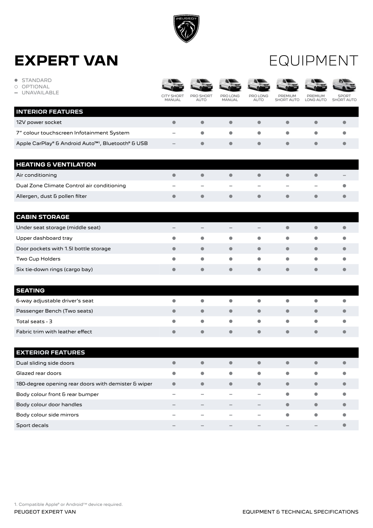

#### EQUIPMENT

| <b>STANDARD</b><br>$\bullet$<br><b>OPTIONAL</b><br>UNAVAILABLE |                             |                          |                           |                          |                          |                      |                                   |
|----------------------------------------------------------------|-----------------------------|--------------------------|---------------------------|--------------------------|--------------------------|----------------------|-----------------------------------|
|                                                                | CITY SHORT<br><b>MANUAL</b> | PRO SHORT<br><b>AUTO</b> | PRO LONG<br><b>MANUAL</b> | PRO LONG<br><b>AUTO</b>  | PREMIUM<br>SHORT AUTO    | PREMIUM<br>LONG AUTO | <b>SPORT</b><br><b>SHORT AUTO</b> |
| <b>INTERIOR FEATURES</b>                                       |                             |                          |                           |                          |                          |                      |                                   |
| 12V power socket                                               |                             | $\bullet$                | $\bullet$                 | $\bullet$                | $\bullet$                | $\bullet$            | ٠                                 |
| 7" colour touchscreen Infotainment System                      |                             | $\bullet$                | $\bullet$                 | $\bullet$                | $\bullet$                | $\bullet$            |                                   |
| Apple CarPlay® & Android Auto <sup>™1</sup> , Bluetooth® & USB |                             | $\bullet$                | $\bullet$                 | $\bullet$                | $\bullet$                | $\bullet$            |                                   |
| <b>HEATING &amp; VENTILATION</b>                               |                             |                          |                           |                          |                          |                      |                                   |
| Air conditioning                                               |                             | $\bullet$                | $\bullet$                 | $\bullet$                | $\bullet$                | $\bullet$            |                                   |
| Dual Zone Climate Control air conditioning                     |                             |                          |                           |                          | $\overline{\phantom{a}}$ |                      |                                   |
| Allergen, dust & pollen filter                                 | $\bullet$                   | $\bullet$                | $\bullet$                 | $\bullet$                | $\bullet$                | $\bullet$            |                                   |
| <b>CABIN STORAGE</b>                                           |                             |                          |                           |                          |                          |                      |                                   |
| Under seat storage (middle seat)                               |                             |                          |                           |                          | $\bullet$                | $\bullet$            |                                   |
| Upper dashboard tray                                           |                             | $\bullet$                | $\bullet$                 | $\bullet$                | $\bullet$                | $\bullet$            |                                   |
| Door pockets with 1.5I bottle storage                          | $\bullet$                   | $\bullet$                | $\bullet$                 | $\bullet$                | $\bullet$                | $\bullet$            |                                   |
| Two Cup Holders                                                | $\bullet$                   | $\bullet$                | $\bullet$                 | $\bullet$                | $\bullet$                | $\bullet$            |                                   |
| Six tie-down rings (cargo bay)                                 | $\bullet$                   | $\bullet$                | $\bullet$                 | $\bullet$                | $\bullet$                | $\bullet$            |                                   |
| <b>SEATING</b>                                                 |                             |                          |                           |                          |                          |                      |                                   |
| 6-way adjustable driver's seat                                 |                             | $\bullet$                | $\bullet$                 | $\bullet$                | $\bullet$                | $\bullet$            |                                   |
| Passenger Bench (Two seats)                                    |                             | $\bullet$                | $\bullet$                 | $\bullet$                | $\bullet$                | $\bullet$            |                                   |
| Total seats - 3                                                |                             | $\bullet$                | $\bullet$                 | $\bullet$                | $\bullet$                | $\bullet$            |                                   |
| Fabric trim with leather effect                                | $\bullet$                   | $\bullet$                | $\bullet$                 | $\bullet$                | $\bullet$                | $\bullet$            |                                   |
| <b>EXTERIOR FEATURES</b>                                       |                             |                          |                           |                          |                          |                      |                                   |
| Dual sliding side doors                                        |                             |                          |                           |                          | $\bullet$                |                      |                                   |
| Glazed rear doors                                              | $\bullet$                   | $\bullet$                | $\bullet$                 | $\bullet$                | $\bullet$                | $\bullet$            |                                   |
| 180-degree opening rear doors with demister & wiper            | $\bullet$                   | $\bullet$                | $\bullet$                 | $\bullet$                | $\bullet$                | $\bullet$            |                                   |
| Body colour front & rear bumper                                | $\overline{\phantom{a}}$    |                          | -                         | $\overline{\phantom{a}}$ | $\bullet$                | $\bullet$            | $\bullet$                         |
| Body colour door handles                                       |                             |                          | $\qquad \qquad -$         | $\qquad \qquad -$        | $\bullet$                | $\bullet$            |                                   |
| Body colour side mirrors                                       |                             |                          |                           | -                        | $\bullet$                | $\bullet$            | $\bullet$                         |
| Sport decals                                                   |                             |                          |                           |                          |                          | -                    | $\bullet$                         |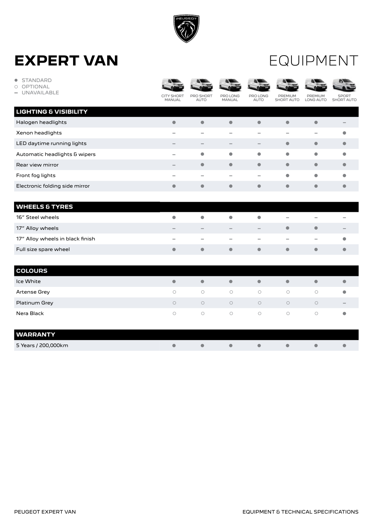

#### EQUIPMENT

| <b>STANDARD</b><br>۰<br><b>OPTIONAL</b><br>◯<br><b>UNAVAILABLE</b> | <b>CITY SHORT</b><br><b>MANUAL</b> | <b>PRO SHORT</b><br><b>AUTO</b> | PRO LONG<br><b>MANUAL</b>       | <b>PRO LONG</b><br><b>AUTO</b> | <b>PREMIUM</b><br><b>SHORT AUTO</b> | PREMIUM<br>LONG AUTO     | <b>SPORT</b><br><b>SHORT AUTO</b> |
|--------------------------------------------------------------------|------------------------------------|---------------------------------|---------------------------------|--------------------------------|-------------------------------------|--------------------------|-----------------------------------|
| <b>LIGHTING &amp; VISIBILITY</b>                                   |                                    |                                 |                                 |                                |                                     |                          |                                   |
| Halogen headlights                                                 | $\bullet$                          | $\bullet$                       | $\bullet$                       | $\bullet$                      | $\bullet$                           | $\bullet$                |                                   |
| Xenon headlights                                                   |                                    | <b>COL</b>                      | ÷                               | -                              | -                                   | $\equiv$                 | $\bullet$                         |
| LED daytime running lights                                         |                                    | $\qquad \qquad -$               | $\hspace{0.1mm}-\hspace{0.1mm}$ | $\qquad \qquad -$              | $\bullet$                           | $\bullet$                | $\bullet$                         |
| Automatic headlights & wipers                                      | ۰                                  | $\bullet$                       | $\bullet$                       | $\bullet$                      | $\bullet$                           | $\bullet$                | $\bullet$                         |
| Rear view mirror                                                   |                                    | $\bullet$                       | $\bullet$                       | $\bullet$                      | $\bullet$                           | $\bullet$                | 0                                 |
| Front fog lights                                                   |                                    |                                 | -                               | $\overline{\phantom{a}}$       | $\bullet$                           | $\bullet$                | $\bullet$                         |
| Electronic folding side mirror                                     | $\bullet$                          | $\bullet$                       | $\bullet$                       | $\bullet$                      | $\bullet$                           | $\bullet$                | $\bullet$                         |
|                                                                    |                                    |                                 |                                 |                                |                                     |                          |                                   |
| <b>WHEELS &amp; TYRES</b>                                          |                                    |                                 |                                 |                                |                                     |                          |                                   |
| 16" Steel wheels                                                   |                                    |                                 |                                 | $\bullet$                      |                                     |                          |                                   |
| 17" Alloy wheels                                                   |                                    |                                 |                                 | -                              | $\bullet$                           | $\bullet$                |                                   |
| 17" Alloy wheels in black finish                                   |                                    |                                 |                                 |                                | -                                   | $\overline{\phantom{a}}$ |                                   |
| Full size spare wheel                                              | $\bullet$                          | $\bullet$                       | $\bullet$                       | $\bullet$                      | $\bullet$                           | $\bullet$                | O                                 |
|                                                                    |                                    |                                 |                                 |                                |                                     |                          |                                   |
| <b>COLOURS</b>                                                     |                                    |                                 |                                 |                                |                                     |                          |                                   |
| Ice White                                                          | $\bullet$                          | $\bullet$                       | $\bullet$                       | $\bullet$                      | $\bullet$                           | $\bullet$                | $\bullet$                         |
| Artense Grey                                                       | $\bigcirc$                         | $\bigcirc$                      | $\bigcirc$                      | $\bigcirc$                     | $\bigcirc$                          | $\bigcirc$               | $\bullet$                         |
| Platinum Grey                                                      | $\bigcirc$                         | $\bigcirc$                      | $\bigcirc$                      | $\bigcirc$                     | $\circ$                             | $\circ$                  |                                   |
| Nera Black                                                         | $\bigcirc$                         | $\bigcirc$                      | $\bigcirc$                      | $\bigcirc$                     | $\bigcirc$                          | $\bigcirc$               | $\bullet$                         |
| <b>WARRANTY</b>                                                    |                                    |                                 |                                 |                                |                                     |                          |                                   |
| 5 Years / 200,000km                                                |                                    | $\bullet$                       |                                 |                                | Ô                                   | $\bullet$                |                                   |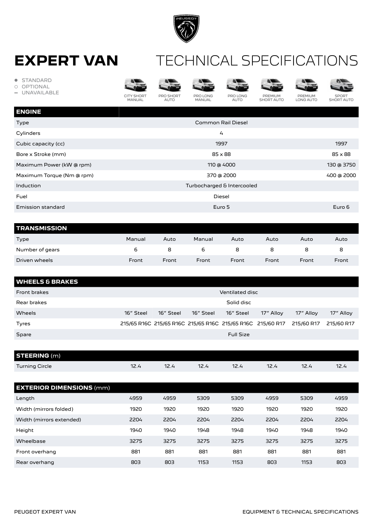

#### **EXPERT VAN** TECHNICAL SPECIFICATIONS

| <b>STANDARD</b><br>$\bullet$<br><b>OPTIONAL</b><br>$\circ$<br><b>UNAVAILABLE</b><br>$\overline{\phantom{a}}$ |                             |                          |                            |                         |                              |                      |                                   |  |  |  |
|--------------------------------------------------------------------------------------------------------------|-----------------------------|--------------------------|----------------------------|-------------------------|------------------------------|----------------------|-----------------------------------|--|--|--|
|                                                                                                              | <b>CITY SHORT</b><br>MANUAL | PRO SHORT<br><b>AUTO</b> | PRO LONG<br>MANUAL         | PRO LONG<br><b>AUTO</b> | PREMIUM<br><b>SHORT AUTO</b> | PREMIUM<br>LONG AUTO | <b>SPORT</b><br><b>SHORT AUTO</b> |  |  |  |
| <b>ENGINE</b>                                                                                                |                             |                          |                            |                         |                              |                      |                                   |  |  |  |
| Type                                                                                                         |                             |                          |                            | Common Rail Diesel      |                              |                      |                                   |  |  |  |
| Cylinders                                                                                                    |                             |                          |                            | $\overline{4}$          |                              |                      |                                   |  |  |  |
| Cubic capacity (cc)                                                                                          |                             | 1997                     |                            |                         |                              |                      |                                   |  |  |  |
| Bore x Stroke (mm)                                                                                           |                             | $85 \times 88$           |                            |                         |                              |                      |                                   |  |  |  |
| Maximum Power (kW @ rpm)                                                                                     |                             |                          |                            | 110 @ 4000              |                              |                      | 130 @ 3750                        |  |  |  |
| Maximum Torque (Nm @ rpm)                                                                                    |                             |                          |                            | 370 @ 2000              |                              |                      | 400 @ 2000                        |  |  |  |
| Induction                                                                                                    |                             |                          | Turbocharged & Intercooled |                         |                              |                      |                                   |  |  |  |
| Fuel                                                                                                         |                             |                          |                            | Diesel                  |                              |                      |                                   |  |  |  |
| <b>Emission standard</b>                                                                                     |                             |                          |                            | Euro 5                  |                              |                      | Euro 6                            |  |  |  |
|                                                                                                              |                             |                          |                            |                         |                              |                      |                                   |  |  |  |

| <b>TRANSMISSION</b> |        |       |        |       |       |       |       |
|---------------------|--------|-------|--------|-------|-------|-------|-------|
| Type                | Manual | Auto  | Manual | Auto  | Auto  | Auto  | Auto  |
| Number of gears     | ь      | 8     |        | 8     | 8     | 8     | 8     |
| Driven wheels       | Front  | Front | Front  | Front | Front | Front | Front |

| <b>WHEELS &amp; BRAKES</b> |           |                 |           |                                                            |           |            |            |  |  |  |
|----------------------------|-----------|-----------------|-----------|------------------------------------------------------------|-----------|------------|------------|--|--|--|
| Front brakes               |           | Ventilated disc |           |                                                            |           |            |            |  |  |  |
| Rear brakes                |           |                 |           | Solid disc                                                 |           |            |            |  |  |  |
| Wheels                     | 16" Steel | 16" Steel       | 16" Steel | 16" Steel                                                  | 17" Alloy | 17" Allov  | 17" Alloy  |  |  |  |
| Tyres                      |           |                 |           | 215/65 R16C 215/65 R16C 215/65 R16C 215/65 R16C 215/60 R17 |           | 215/60 R17 | 215/60 R17 |  |  |  |
| Spare                      |           |                 |           | <b>Full Size</b>                                           |           |            |            |  |  |  |

| <b>STEERING (m)</b> |           |      |     |           |            |       |      |
|---------------------|-----------|------|-----|-----------|------------|-------|------|
| Turning Circle      | າາ<br>ے ۔ | 16.4 | $-$ | ำว<br>۲.۹ | 12<br>16.4 | $- -$ | 14.4 |

| <b>EXTERIOR DIMENSIONS (mm)</b> |      |      |      |      |      |      |      |
|---------------------------------|------|------|------|------|------|------|------|
| Length                          | 4959 | 4959 | 5309 | 5309 | 4959 | 5309 | 4959 |
| Width (mirrors folded)          | 1920 | 1920 | 1920 | 1920 | 1920 | 1920 | 1920 |
| Width (mirrors extended)        | 2204 | 2204 | 2204 | 2204 | 2204 | 2204 | 2204 |
| Height                          | 1940 | 1940 | 1948 | 1948 | 1940 | 1948 | 1940 |
| Wheelbase                       | 3275 | 3275 | 3275 | 3275 | 3275 | 3275 | 3275 |
| Front overhang                  | 881  | 881  | 881  | 881  | 881  | 881  | 881  |
| Rear overhang                   | 803  | 803  | 1153 | 1153 | 803  | 1153 | 803  |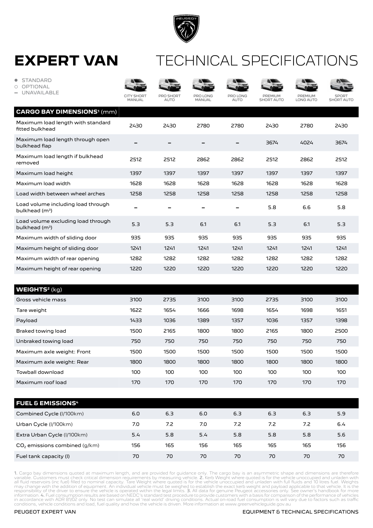

#### TECHNICAL SPECIFICATIONS

| <b>STANDARD</b><br>$\bullet$<br>OPTIONAL<br>Ο<br><b>UNAVAILABLE</b> | <b>CITY SHORT</b><br><b>MANUAL</b> | <b>PRO SHORT</b><br><b>AUTO</b> | PRO LONG<br><b>MANUAL</b> | PRO LONG<br><b>AUTO</b> | <b>PREMIUM</b><br><b>SHORT AUTO</b> | <b>PREMIUM</b><br><b>LONG AUTO</b> | <b>SPORT</b><br><b>SHORT AUTO</b> |
|---------------------------------------------------------------------|------------------------------------|---------------------------------|---------------------------|-------------------------|-------------------------------------|------------------------------------|-----------------------------------|
| <b>CARGO BAY DIMENSIONS<sup>1</sup> (mm)</b>                        |                                    |                                 |                           |                         |                                     |                                    |                                   |
| Maximum load length with standard<br>fitted bulkhead                | 2430                               | 2430                            | 2780                      | 2780                    | 2430                                | 2780                               | 2430                              |
| Maximum load length through open<br>bulkhead flap                   |                                    |                                 |                           |                         | 3674                                | 4024                               | 3674                              |
| Maximum load length if bulkhead<br>removed                          | 2512                               | 2512                            | 2862                      | 2862                    | 2512                                | 2862                               | 2512                              |
| Maximum load height                                                 | 1397                               | 1397                            | 1397                      | 1397                    | 1397                                | 1397                               | 1397                              |
| Maximum load width                                                  | 1628                               | 1628                            | 1628                      | 1628                    | 1628                                | 1628                               | 1628                              |
| Load width between wheel arches                                     | 1258                               | 1258                            | 1258                      | 1258                    | 1258                                | 1258                               | 1258                              |
| Load volume including load through<br>bulkhead $(m^3)$              |                                    |                                 |                           |                         | 5.8                                 | 6.6                                | 5.8                               |
| Load volume excluding load through<br>bulkhead $(m^3)$              | 5.3                                | 5.3                             | 6.1                       | 6.1                     | 5.3                                 | 6.1                                | 5.3                               |
| Maximum width of sliding door                                       | 935                                | 935                             | 935                       | 935                     | 935                                 | 935                                | 935                               |
| Maximum height of sliding door                                      | 1241                               | 1241                            | 1241                      | 1241                    | 1241                                | 1241                               | 1241                              |
| Maximum width of rear opening                                       | 1282                               | 1282                            | 1282                      | 1282                    | 1282                                | 1282                               | 1282                              |
| Maximum height of rear opening                                      | 1220                               | 1220                            | 1220                      | 1220                    | 1220                                | 1220                               | 1220                              |
|                                                                     |                                    |                                 |                           |                         |                                     |                                    |                                   |
| <b>WEIGHTS<sup>2</sup> (kg)</b>                                     |                                    |                                 |                           |                         |                                     |                                    |                                   |
| Gross vehicle mass                                                  | 3100                               | 2735                            | 3100                      | 3100                    | 2735                                | 3100                               | 3100                              |

| ככפווו סוטווסט ככטוט       | ں ر  | ___  | ں ر  | - 199 | ___  | ں ر  | ں ر  |
|----------------------------|------|------|------|-------|------|------|------|
| Tare weight                | 1622 | 1654 | 1666 | 1698  | 1654 | 1698 | 1651 |
| Payload                    | 1433 | 1036 | 1389 | 1357  | 1036 | 1357 | 1398 |
| Braked towing load         | 1500 | 2165 | 1800 | 1800  | 2165 | 1800 | 2500 |
| Unbraked towing load       | 750  | 750  | 750  | 750   | 750  | 750  | 750  |
| Maximum axle weight: Front | 1500 | 1500 | 1500 | 1500  | 1500 | 1500 | 1500 |
| Maximum axle weight: Rear  | 1800 | 1800 | 1800 | 1800  | 1800 | 1800 | 1800 |
| Towball download           | 100  | 100  | 100  | 100   | 100  | 100  | 100  |
| Maximum roof load          | 170  | 170  | 170  | 170   | 170  | 170  | 170  |
|                            |      |      |      |       |      |      |      |

| <b>FUEL &amp; EMISSIONS4</b>    |     |     |     |     |     |     |     |
|---------------------------------|-----|-----|-----|-----|-----|-----|-----|
| Combined Cycle (I/100km)        | 6.0 | 6.3 | 6.0 | 6.3 | 6.3 | 6.3 | 5.9 |
| Urban Cycle (I/100km)           | 7.0 | 7.2 | 7.0 | 7.2 | 7.2 | 7.2 | 6.4 |
| Extra Urban Cycle (I/100km)     | 5.4 | 5.8 | 5.4 | 5.8 | 5.8 | 5.8 | 5.6 |
| $CO2$ emissions combined (g/km) | 156 | 165 | 156 | 165 | 165 | 165 | 156 |
| Fuel tank capacity (I)          | 70  | 70  | 70  | 70  | 70  | 70  | 70  |

1. Cargo bay dimensions quoted at maximum length, and are provided for guidance only. The cargo bay is an asymmetric shape and dimensions are therefore<br>variable. Customers must check critical dimension requirements by meas

#### PEUGEOT EXPERT VAN

#### EQUIPMENT & TECHNICAL SPECIFICATIONS